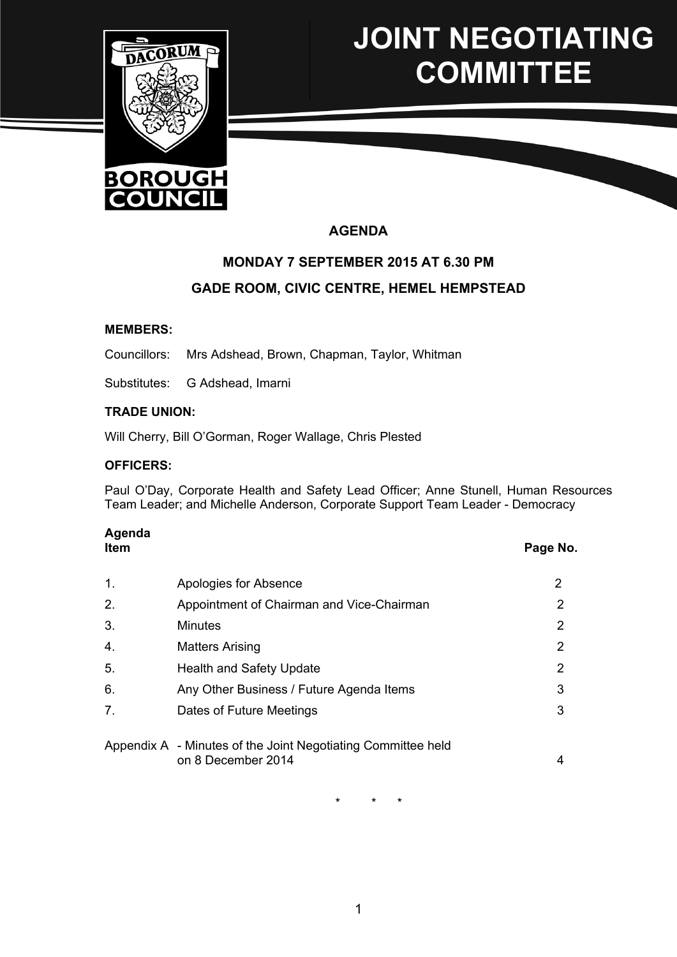

# **JOINT NEGOTIATING COMMITTEE**

# **AGENDA**

# **MONDAY 7 SEPTEMBER 2015 AT 6.30 PM GADE ROOM, CIVIC CENTRE, HEMEL HEMPSTEAD**

#### **MEMBERS:**

Councillors: Mrs Adshead, Brown, Chapman, Taylor, Whitman

Substitutes: G Adshead, Imarni

#### **TRADE UNION:**

Will Cherry, Bill O'Gorman, Roger Wallage, Chris Plested

#### **OFFICERS:**

Paul O'Day, Corporate Health and Safety Lead Officer; Anne Stunell, Human Resources Team Leader; and Michelle Anderson, Corporate Support Team Leader - Democracy

# **Agenda**

# **Item Page No.**

| $\mathbf 1$ . | Apologies for Absence                                                              |                       |
|---------------|------------------------------------------------------------------------------------|-----------------------|
| 2.            | Appointment of Chairman and Vice-Chairman                                          | 2                     |
| 3.            | <b>Minutes</b>                                                                     | $\mathbf{2}^{\prime}$ |
| 4.            | <b>Matters Arising</b>                                                             | $\mathbf{2}^{\prime}$ |
| 5.            | <b>Health and Safety Update</b>                                                    | $\mathbf{2}^{\prime}$ |
| 6.            | Any Other Business / Future Agenda Items                                           | 3                     |
| 7.            | Dates of Future Meetings                                                           | 3                     |
|               |                                                                                    |                       |
|               | Appendix A - Minutes of the Joint Negotiating Committee held<br>on 8 December 2014 | 4                     |

\* \* \*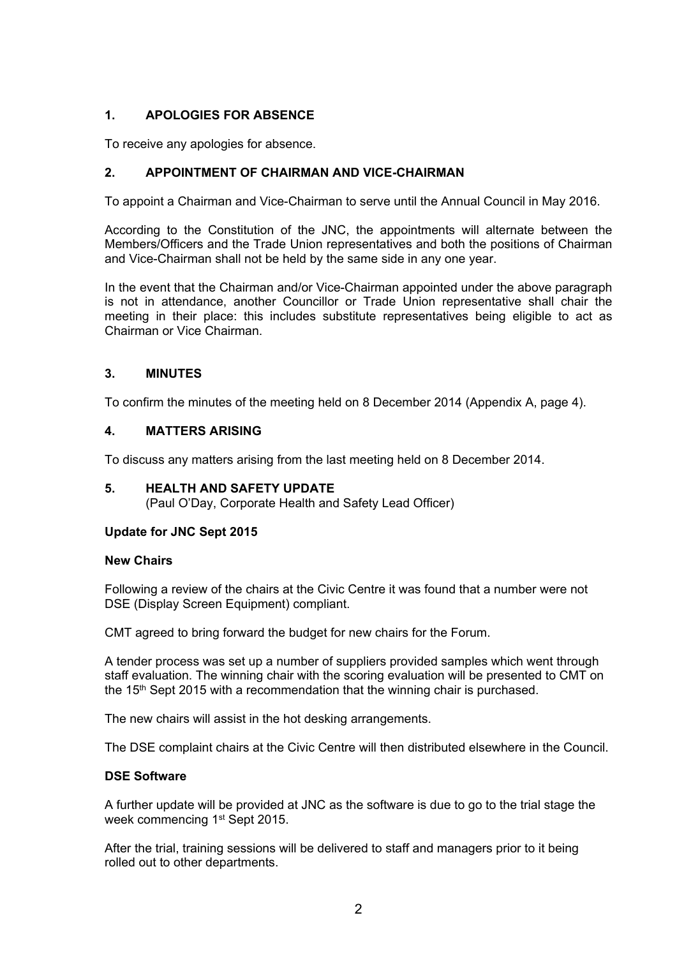# **1. APOLOGIES FOR ABSENCE**

To receive any apologies for absence.

# **2. APPOINTMENT OF CHAIRMAN AND VICE-CHAIRMAN**

To appoint a Chairman and Vice-Chairman to serve until the Annual Council in May 2016.

According to the Constitution of the JNC, the appointments will alternate between the Members/Officers and the Trade Union representatives and both the positions of Chairman and Vice-Chairman shall not be held by the same side in any one year.

In the event that the Chairman and/or Vice-Chairman appointed under the above paragraph is not in attendance, another Councillor or Trade Union representative shall chair the meeting in their place: this includes substitute representatives being eligible to act as Chairman or Vice Chairman.

# **3. MINUTES**

To confirm the minutes of the meeting held on 8 December 2014 (Appendix A, page 4).

# **4. MATTERS ARISING**

To discuss any matters arising from the last meeting held on 8 December 2014.

# **5. HEALTH AND SAFETY UPDATE**

(Paul O'Day, Corporate Health and Safety Lead Officer)

# **Update for JNC Sept 2015**

# **New Chairs**

Following a review of the chairs at the Civic Centre it was found that a number were not DSE (Display Screen Equipment) compliant.

CMT agreed to bring forward the budget for new chairs for the Forum.

A tender process was set up a number of suppliers provided samples which went through staff evaluation. The winning chair with the scoring evaluation will be presented to CMT on the  $15<sup>th</sup>$  Sept 2015 with a recommendation that the winning chair is purchased.

The new chairs will assist in the hot desking arrangements.

The DSE complaint chairs at the Civic Centre will then distributed elsewhere in the Council.

# **DSE Software**

A further update will be provided at JNC as the software is due to go to the trial stage the week commencing 1<sup>st</sup> Sept 2015.

After the trial, training sessions will be delivered to staff and managers prior to it being rolled out to other departments.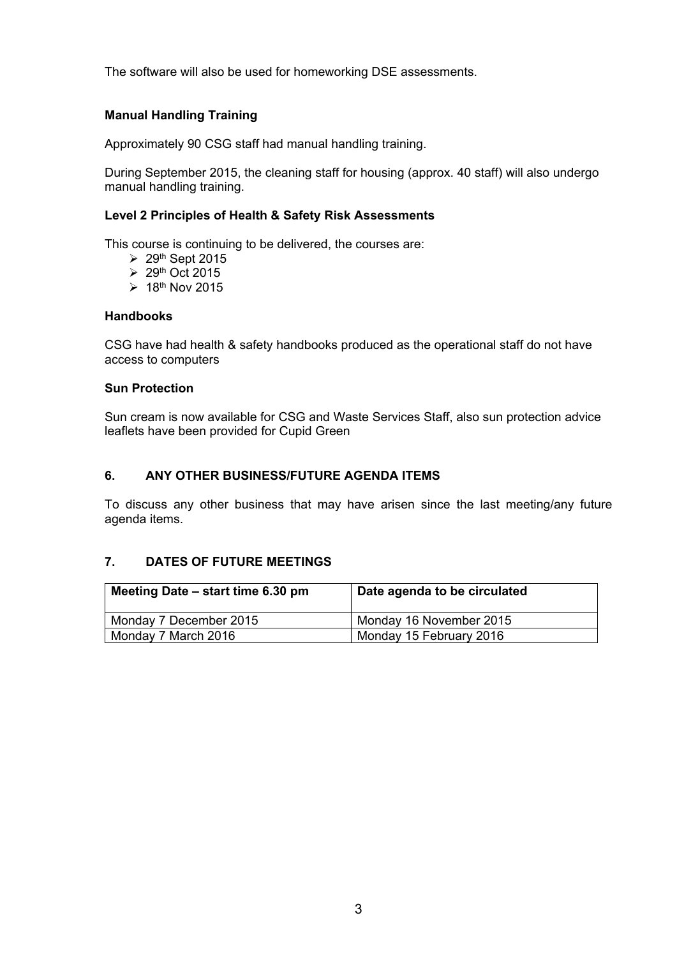The software will also be used for homeworking DSE assessments.

# **Manual Handling Training**

Approximately 90 CSG staff had manual handling training.

During September 2015, the cleaning staff for housing (approx. 40 staff) will also undergo manual handling training.

#### **Level 2 Principles of Health & Safety Risk Assessments**

This course is continuing to be delivered, the courses are:

- $\geq 29$ <sup>th</sup> Sept 2015
- $\geq 29$ <sup>th</sup> Oct 2015
- $\geq 18$ <sup>th</sup> Nov 2015

#### **Handbooks**

CSG have had health & safety handbooks produced as the operational staff do not have access to computers

#### **Sun Protection**

Sun cream is now available for CSG and Waste Services Staff, also sun protection advice leaflets have been provided for Cupid Green

# **6. ANY OTHER BUSINESS/FUTURE AGENDA ITEMS**

To discuss any other business that may have arisen since the last meeting/any future agenda items.

# **7. DATES OF FUTURE MEETINGS**

| Meeting Date – start time 6.30 pm | Date agenda to be circulated |
|-----------------------------------|------------------------------|
| Monday 7 December 2015            | Monday 16 November 2015      |
| Monday 7 March 2016               | Monday 15 February 2016      |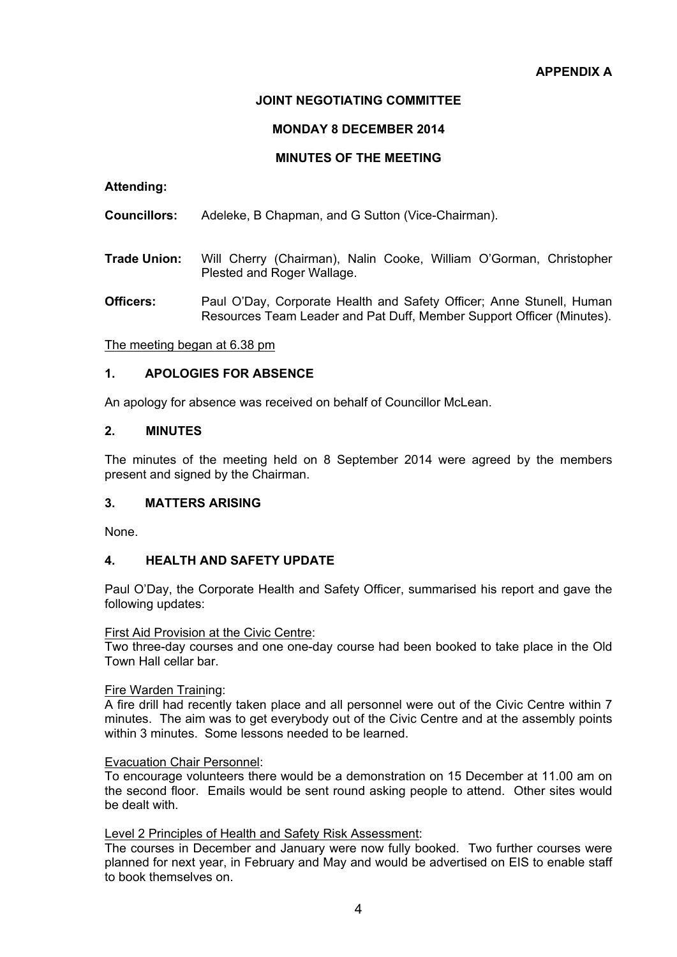# **JOINT NEGOTIATING COMMITTEE**

#### **MONDAY 8 DECEMBER 2014**

# **MINUTES OF THE MEETING**

#### **Attending:**

**Councillors:** Adeleke, B Chapman, and G Sutton (Vice-Chairman).

- **Trade Union:** Will Cherry (Chairman), Nalin Cooke, William O'Gorman, Christopher Plested and Roger Wallage.
- **Officers:** Paul O'Day, Corporate Health and Safety Officer; Anne Stunell, Human Resources Team Leader and Pat Duff, Member Support Officer (Minutes).

The meeting began at 6.38 pm

#### **1. APOLOGIES FOR ABSENCE**

An apology for absence was received on behalf of Councillor McLean.

#### **2. MINUTES**

The minutes of the meeting held on 8 September 2014 were agreed by the members present and signed by the Chairman.

# **3. MATTERS ARISING**

None.

# **4. HEALTH AND SAFETY UPDATE**

Paul O'Day, the Corporate Health and Safety Officer, summarised his report and gave the following updates:

First Aid Provision at the Civic Centre:

Two three-day courses and one one-day course had been booked to take place in the Old Town Hall cellar bar.

#### Fire Warden Training:

A fire drill had recently taken place and all personnel were out of the Civic Centre within 7 minutes. The aim was to get everybody out of the Civic Centre and at the assembly points within 3 minutes. Some lessons needed to be learned.

#### Evacuation Chair Personnel:

To encourage volunteers there would be a demonstration on 15 December at 11.00 am on the second floor. Emails would be sent round asking people to attend. Other sites would be dealt with.

#### Level 2 Principles of Health and Safety Risk Assessment:

The courses in December and January were now fully booked. Two further courses were planned for next year, in February and May and would be advertised on EIS to enable staff to book themselves on.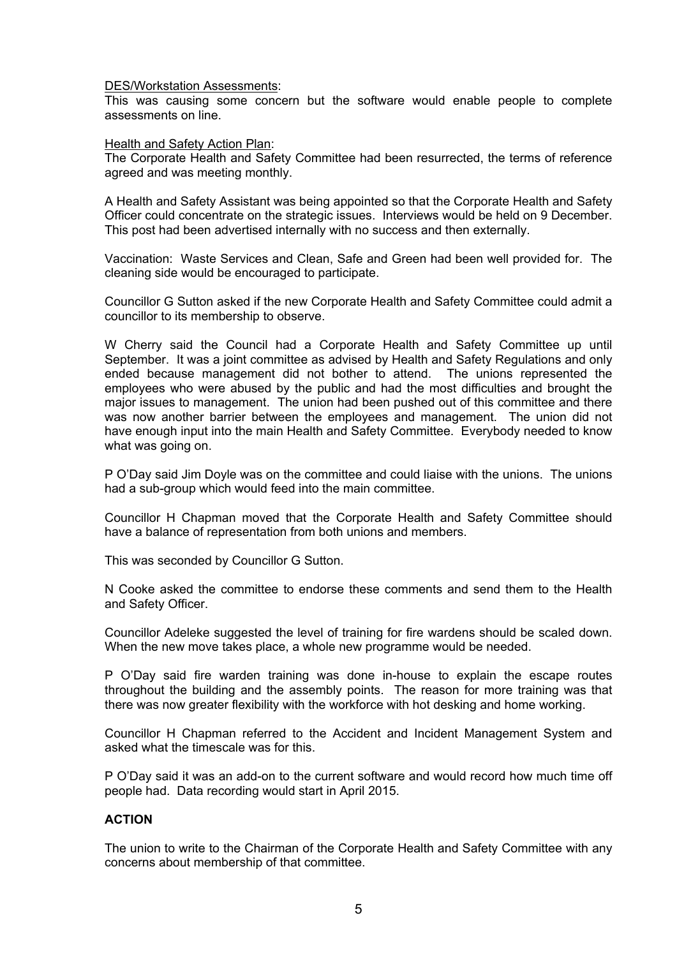#### DES/Workstation Assessments:

This was causing some concern but the software would enable people to complete assessments on line.

Health and Safety Action Plan:

The Corporate Health and Safety Committee had been resurrected, the terms of reference agreed and was meeting monthly.

A Health and Safety Assistant was being appointed so that the Corporate Health and Safety Officer could concentrate on the strategic issues. Interviews would be held on 9 December. This post had been advertised internally with no success and then externally.

Vaccination: Waste Services and Clean, Safe and Green had been well provided for. The cleaning side would be encouraged to participate.

Councillor G Sutton asked if the new Corporate Health and Safety Committee could admit a councillor to its membership to observe.

W Cherry said the Council had a Corporate Health and Safety Committee up until September. It was a joint committee as advised by Health and Safety Regulations and only ended because management did not bother to attend. The unions represented the employees who were abused by the public and had the most difficulties and brought the major issues to management. The union had been pushed out of this committee and there was now another barrier between the employees and management. The union did not have enough input into the main Health and Safety Committee. Everybody needed to know what was going on.

P O'Day said Jim Doyle was on the committee and could liaise with the unions. The unions had a sub-group which would feed into the main committee.

Councillor H Chapman moved that the Corporate Health and Safety Committee should have a balance of representation from both unions and members.

This was seconded by Councillor G Sutton.

N Cooke asked the committee to endorse these comments and send them to the Health and Safety Officer.

Councillor Adeleke suggested the level of training for fire wardens should be scaled down. When the new move takes place, a whole new programme would be needed.

P O'Day said fire warden training was done in-house to explain the escape routes throughout the building and the assembly points. The reason for more training was that there was now greater flexibility with the workforce with hot desking and home working.

Councillor H Chapman referred to the Accident and Incident Management System and asked what the timescale was for this.

P O'Day said it was an add-on to the current software and would record how much time off people had. Data recording would start in April 2015.

# **ACTION**

The union to write to the Chairman of the Corporate Health and Safety Committee with any concerns about membership of that committee.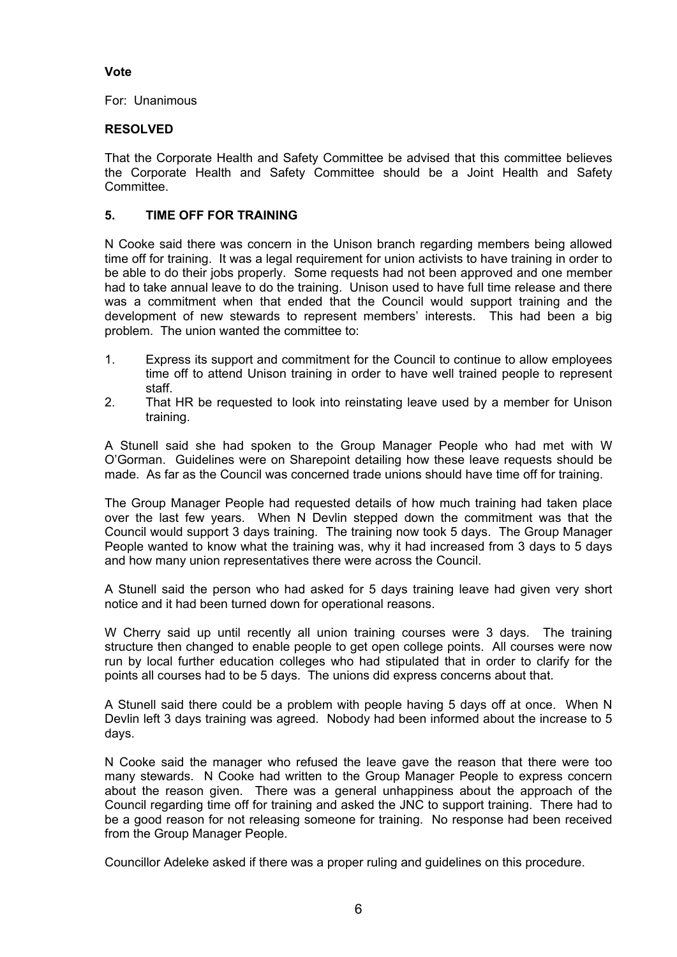# **Vote**

For: Unanimous

# **RESOLVED**

That the Corporate Health and Safety Committee be advised that this committee believes the Corporate Health and Safety Committee should be a Joint Health and Safety **Committee.** 

# **5. TIME OFF FOR TRAINING**

N Cooke said there was concern in the Unison branch regarding members being allowed time off for training. It was a legal requirement for union activists to have training in order to be able to do their jobs properly. Some requests had not been approved and one member had to take annual leave to do the training. Unison used to have full time release and there was a commitment when that ended that the Council would support training and the development of new stewards to represent members' interests. This had been a big problem. The union wanted the committee to:

- 1. Express its support and commitment for the Council to continue to allow employees time off to attend Unison training in order to have well trained people to represent staff.
- 2. That HR be requested to look into reinstating leave used by a member for Unison training.

A Stunell said she had spoken to the Group Manager People who had met with W O'Gorman. Guidelines were on Sharepoint detailing how these leave requests should be made. As far as the Council was concerned trade unions should have time off for training.

The Group Manager People had requested details of how much training had taken place over the last few years. When N Devlin stepped down the commitment was that the Council would support 3 days training. The training now took 5 days. The Group Manager People wanted to know what the training was, why it had increased from 3 days to 5 days and how many union representatives there were across the Council.

A Stunell said the person who had asked for 5 days training leave had given very short notice and it had been turned down for operational reasons.

W Cherry said up until recently all union training courses were 3 days. The training structure then changed to enable people to get open college points. All courses were now run by local further education colleges who had stipulated that in order to clarify for the points all courses had to be 5 days. The unions did express concerns about that.

A Stunell said there could be a problem with people having 5 days off at once. When N Devlin left 3 days training was agreed. Nobody had been informed about the increase to 5 days.

N Cooke said the manager who refused the leave gave the reason that there were too many stewards. N Cooke had written to the Group Manager People to express concern about the reason given. There was a general unhappiness about the approach of the Council regarding time off for training and asked the JNC to support training. There had to be a good reason for not releasing someone for training. No response had been received from the Group Manager People.

Councillor Adeleke asked if there was a proper ruling and guidelines on this procedure.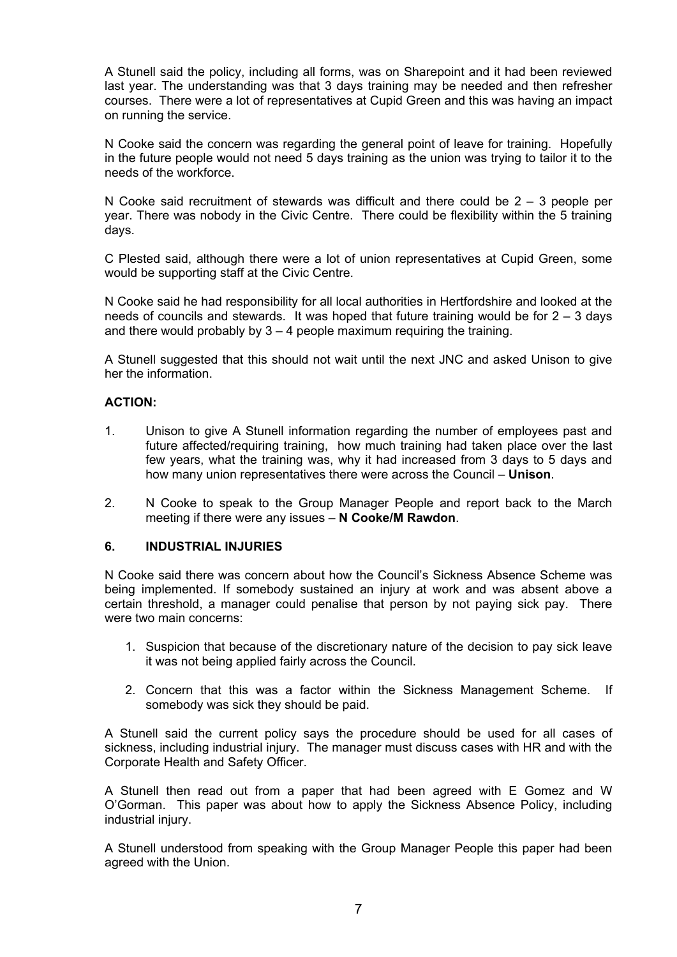A Stunell said the policy, including all forms, was on Sharepoint and it had been reviewed last year. The understanding was that 3 days training may be needed and then refresher courses. There were a lot of representatives at Cupid Green and this was having an impact on running the service.

N Cooke said the concern was regarding the general point of leave for training. Hopefully in the future people would not need 5 days training as the union was trying to tailor it to the needs of the workforce.

N Cooke said recruitment of stewards was difficult and there could be  $2 - 3$  people per year. There was nobody in the Civic Centre. There could be flexibility within the 5 training days.

C Plested said, although there were a lot of union representatives at Cupid Green, some would be supporting staff at the Civic Centre.

N Cooke said he had responsibility for all local authorities in Hertfordshire and looked at the needs of councils and stewards. It was hoped that future training would be for  $2 - 3$  days and there would probably by  $3 - 4$  people maximum requiring the training.

A Stunell suggested that this should not wait until the next JNC and asked Unison to give her the information.

#### **ACTION:**

- 1. Unison to give A Stunell information regarding the number of employees past and future affected/requiring training, how much training had taken place over the last few years, what the training was, why it had increased from 3 days to 5 days and how many union representatives there were across the Council – **Unison**.
- 2. N Cooke to speak to the Group Manager People and report back to the March meeting if there were any issues – **N Cooke/M Rawdon**.

#### **6. INDUSTRIAL INJURIES**

N Cooke said there was concern about how the Council's Sickness Absence Scheme was being implemented. If somebody sustained an injury at work and was absent above a certain threshold, a manager could penalise that person by not paying sick pay. There were two main concerns:

- 1. Suspicion that because of the discretionary nature of the decision to pay sick leave it was not being applied fairly across the Council.
- 2. Concern that this was a factor within the Sickness Management Scheme. If somebody was sick they should be paid.

A Stunell said the current policy says the procedure should be used for all cases of sickness, including industrial injury. The manager must discuss cases with HR and with the Corporate Health and Safety Officer.

A Stunell then read out from a paper that had been agreed with E Gomez and W O'Gorman. This paper was about how to apply the Sickness Absence Policy, including industrial injury.

A Stunell understood from speaking with the Group Manager People this paper had been agreed with the Union.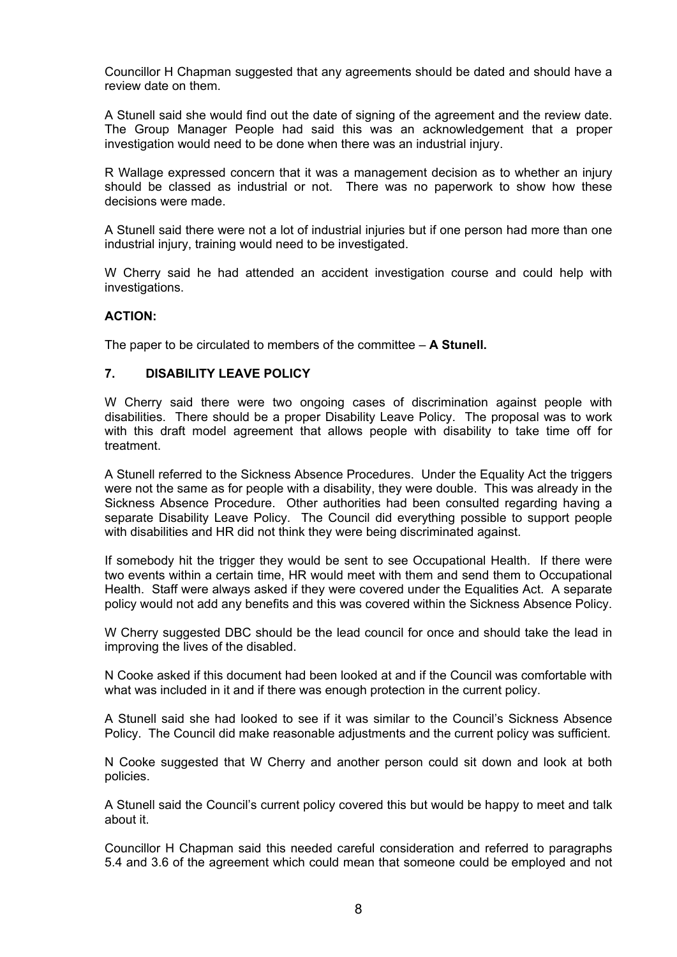Councillor H Chapman suggested that any agreements should be dated and should have a review date on them.

A Stunell said she would find out the date of signing of the agreement and the review date. The Group Manager People had said this was an acknowledgement that a proper investigation would need to be done when there was an industrial injury.

R Wallage expressed concern that it was a management decision as to whether an injury should be classed as industrial or not. There was no paperwork to show how these decisions were made.

A Stunell said there were not a lot of industrial injuries but if one person had more than one industrial injury, training would need to be investigated.

W Cherry said he had attended an accident investigation course and could help with investigations.

#### **ACTION:**

The paper to be circulated to members of the committee – **A Stunell.**

#### **7. DISABILITY LEAVE POLICY**

W Cherry said there were two ongoing cases of discrimination against people with disabilities. There should be a proper Disability Leave Policy. The proposal was to work with this draft model agreement that allows people with disability to take time off for treatment.

A Stunell referred to the Sickness Absence Procedures. Under the Equality Act the triggers were not the same as for people with a disability, they were double. This was already in the Sickness Absence Procedure. Other authorities had been consulted regarding having a separate Disability Leave Policy. The Council did everything possible to support people with disabilities and HR did not think they were being discriminated against.

If somebody hit the trigger they would be sent to see Occupational Health. If there were two events within a certain time, HR would meet with them and send them to Occupational Health. Staff were always asked if they were covered under the Equalities Act. A separate policy would not add any benefits and this was covered within the Sickness Absence Policy.

W Cherry suggested DBC should be the lead council for once and should take the lead in improving the lives of the disabled.

N Cooke asked if this document had been looked at and if the Council was comfortable with what was included in it and if there was enough protection in the current policy.

A Stunell said she had looked to see if it was similar to the Council's Sickness Absence Policy. The Council did make reasonable adjustments and the current policy was sufficient.

N Cooke suggested that W Cherry and another person could sit down and look at both policies.

A Stunell said the Council's current policy covered this but would be happy to meet and talk about it.

Councillor H Chapman said this needed careful consideration and referred to paragraphs 5.4 and 3.6 of the agreement which could mean that someone could be employed and not